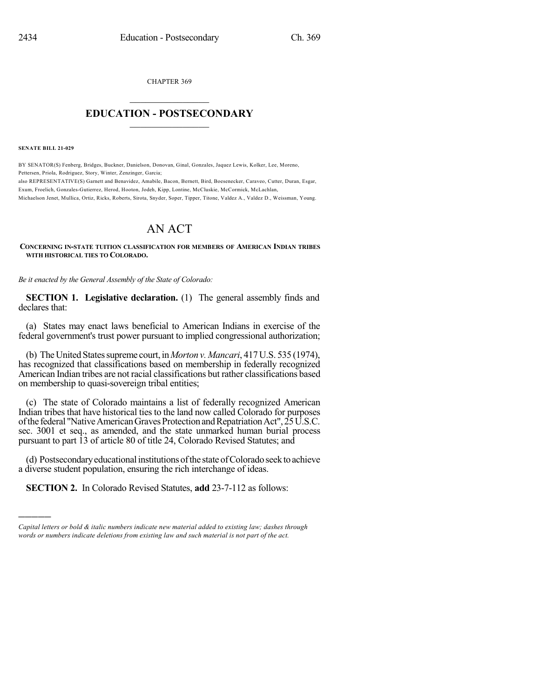CHAPTER 369

## $\mathcal{L}_\text{max}$  . The set of the set of the set of the set of the set of the set of the set of the set of the set of the set of the set of the set of the set of the set of the set of the set of the set of the set of the set **EDUCATION - POSTSECONDARY**  $\_$   $\_$   $\_$   $\_$   $\_$   $\_$   $\_$   $\_$   $\_$

**SENATE BILL 21-029**

)))))

BY SENATOR(S) Fenberg, Bridges, Buckner, Danielson, Donovan, Ginal, Gonzales, Jaquez Lewis, Kolker, Lee, Moreno, Pettersen, Priola, Rodriguez, Story, Winter, Zenzinger, Garcia; also REPRESENTATIVE(S) Garnett and Benavidez, Amabile, Bacon, Bernett, Bird, Boesenecker, Caraveo, Cutter, Duran, Esgar, Exum, Froelich, Gonzales-Gutierrez, Herod, Hooton, Jodeh, Kipp, Lontine, McCluskie, McCormick, McLachlan, Michaelson Jenet, Mullica, Ortiz, Ricks, Roberts, Sirota, Snyder, Soper, Tipper, Titone, Valdez A., Valdez D., Weissman, Young.

## AN ACT

**CONCERNING IN-STATE TUITION CLASSIFICATION FOR MEMBERS OF AMERICAN INDIAN TRIBES WITH HISTORICAL TIES TO COLORADO.**

*Be it enacted by the General Assembly of the State of Colorado:*

**SECTION 1. Legislative declaration.** (1) The general assembly finds and declares that:

(a) States may enact laws beneficial to American Indians in exercise of the federal government's trust power pursuant to implied congressional authorization;

(b) The United States supreme court, in *Morton v. Mancari*, 417 U.S. 535 (1974), has recognized that classifications based on membership in federally recognized American Indian tribes are not racial classifications but rather classifications based on membership to quasi-sovereign tribal entities;

(c) The state of Colorado maintains a list of federally recognized American Indian tribes that have historical ties to the land now called Colorado for purposes of the federal "Native American Graves Protection and Repatriation Act", 25 U.S.C. sec. 3001 et seq., as amended, and the state unmarked human burial process pursuant to part 13 of article 80 of title 24, Colorado Revised Statutes; and

(d) Postsecondary educational institutions of the state of Colorado seek to achieve a diverse student population, ensuring the rich interchange of ideas.

**SECTION 2.** In Colorado Revised Statutes, **add** 23-7-112 as follows:

*Capital letters or bold & italic numbers indicate new material added to existing law; dashes through words or numbers indicate deletions from existing law and such material is not part of the act.*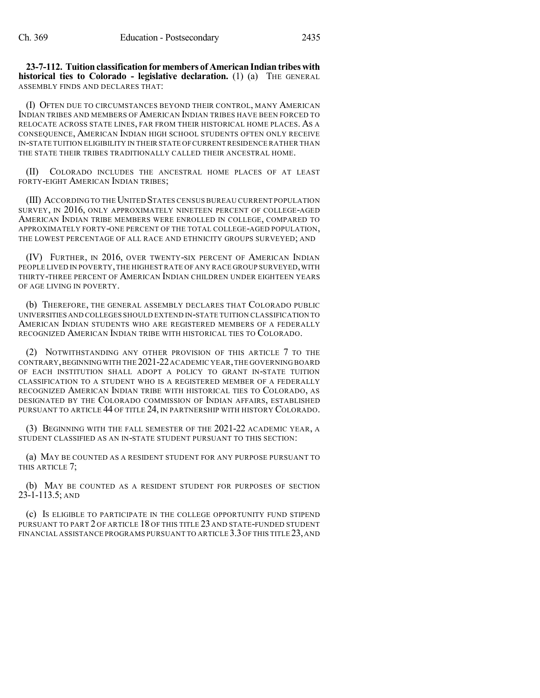**23-7-112. Tuitionclassificationfor members of American Indian tribeswith historical ties to Colorado - legislative declaration.** (1) (a) THE GENERAL ASSEMBLY FINDS AND DECLARES THAT:

(I) OFTEN DUE TO CIRCUMSTANCES BEYOND THEIR CONTROL, MANY AMERICAN INDIAN TRIBES AND MEMBERS OF AMERICAN INDIAN TRIBES HAVE BEEN FORCED TO RELOCATE ACROSS STATE LINES, FAR FROM THEIR HISTORICAL HOME PLACES. AS A CONSEQUENCE, AMERICAN INDIAN HIGH SCHOOL STUDENTS OFTEN ONLY RECEIVE IN-STATE TUITION ELIGIBILITY IN THEIR STATE OFCURRENT RESIDENCE RATHER THAN THE STATE THEIR TRIBES TRADITIONALLY CALLED THEIR ANCESTRAL HOME.

(II) COLORADO INCLUDES THE ANCESTRAL HOME PLACES OF AT LEAST FORTY-EIGHT AMERICAN INDIAN TRIBES;

(III) ACCORDING TO THE UNITED STATES CENSUS BUREAU CURRENT POPULATION SURVEY, IN 2016, ONLY APPROXIMATELY NINETEEN PERCENT OF COLLEGE-AGED AMERICAN INDIAN TRIBE MEMBERS WERE ENROLLED IN COLLEGE, COMPARED TO APPROXIMATELY FORTY-ONE PERCENT OF THE TOTAL COLLEGE-AGED POPULATION, THE LOWEST PERCENTAGE OF ALL RACE AND ETHNICITY GROUPS SURVEYED; AND

(IV) FURTHER, IN 2016, OVER TWENTY-SIX PERCENT OF AMERICAN INDIAN PEOPLE LIVED IN POVERTY, THE HIGHEST RATE OF ANY RACE GROUP SURVEYED, WITH THIRTY-THREE PERCENT OF AMERICAN INDIAN CHILDREN UNDER EIGHTEEN YEARS OF AGE LIVING IN POVERTY.

(b) THEREFORE, THE GENERAL ASSEMBLY DECLARES THAT COLORADO PUBLIC UNIVERSITIES AND COLLEGES SHOULD EXTEND IN-STATE TUITION CLASSIFICATION TO AMERICAN INDIAN STUDENTS WHO ARE REGISTERED MEMBERS OF A FEDERALLY RECOGNIZED AMERICAN INDIAN TRIBE WITH HISTORICAL TIES TO COLORADO.

(2) NOTWITHSTANDING ANY OTHER PROVISION OF THIS ARTICLE 7 TO THE CONTRARY,BEGINNINGWITH THE 2021-22ACADEMIC YEAR,THE GOVERNING BOARD OF EACH INSTITUTION SHALL ADOPT A POLICY TO GRANT IN-STATE TUITION CLASSIFICATION TO A STUDENT WHO IS A REGISTERED MEMBER OF A FEDERALLY RECOGNIZED AMERICAN INDIAN TRIBE WITH HISTORICAL TIES TO COLORADO, AS DESIGNATED BY THE COLORADO COMMISSION OF INDIAN AFFAIRS, ESTABLISHED PURSUANT TO ARTICLE 44 OF TITLE 24, IN PARTNERSHIP WITH HISTORY COLORADO.

(3) BEGINNING WITH THE FALL SEMESTER OF THE 2021-22 ACADEMIC YEAR, A STUDENT CLASSIFIED AS AN IN-STATE STUDENT PURSUANT TO THIS SECTION:

(a) MAY BE COUNTED AS A RESIDENT STUDENT FOR ANY PURPOSE PURSUANT TO THIS ARTICLE 7;

(b) MAY BE COUNTED AS A RESIDENT STUDENT FOR PURPOSES OF SECTION 23-1-113.5; AND

(c) IS ELIGIBLE TO PARTICIPATE IN THE COLLEGE OPPORTUNITY FUND STIPEND PURSUANT TO PART 2 OF ARTICLE 18 OF THIS TITLE 23 AND STATE-FUNDED STUDENT FINANCIAL ASSISTANCE PROGRAMS PURSUANT TO ARTICLE 3.3 OF THIS TITLE 23, AND